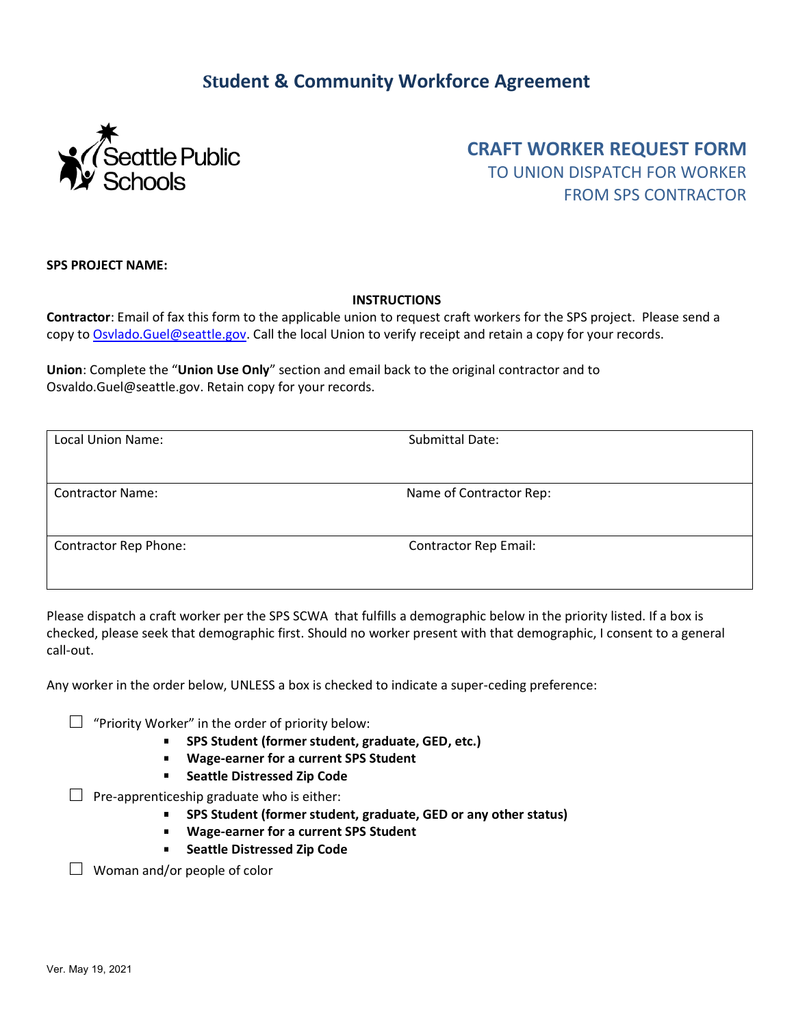## **Student & Community Workforce Agreement**



**CRAFT WORKER REQUEST FORM** TO UNION DISPATCH FOR WORKER FROM SPS CONTRACTOR

**SPS PROJECT NAME:** 

## **INSTRUCTIONS**

**Contractor**: Email of fax this form to the applicable union to request craft workers for the SPS project. Please send a copy t[o Osvlado.Guel@seattle.gov.](mailto:Osvlado.Guel@seattle.gov) Call the local Union to verify receipt and retain a copy for your records.

**Union**: Complete the "**Union Use Only**" section and email back to the original contractor and to Osvaldo.Guel@seattle.gov. Retain copy for your records.

| Local Union Name:            | Submittal Date:              |
|------------------------------|------------------------------|
|                              |                              |
| <b>Contractor Name:</b>      | Name of Contractor Rep:      |
|                              |                              |
| <b>Contractor Rep Phone:</b> | <b>Contractor Rep Email:</b> |
|                              |                              |

Please dispatch a craft worker per the SPS SCWA that fulfills a demographic below in the priority listed. If a box is checked, please seek that demographic first. Should no worker present with that demographic, I consent to a general call-out.

Any worker in the order below, UNLESS a box is checked to indicate a super-ceding preference:

 $\Box$  "Priority Worker" in the order of priority below:

- **SPS Student (former student, graduate, GED, etc.)**
- $\mathbf{r}$ **Wage-earner for a current SPS Student**
- $\mathbf{r}$ **Seattle Distressed Zip Code**

 $\Box$  Pre-apprenticeship graduate who is either:

- **SPS Student (former student, graduate, GED or any other status)**
- **Wage-earner for a current SPS Student**
- **F** Seattle Distressed Zip Code

 $\Box$  Woman and/or people of color